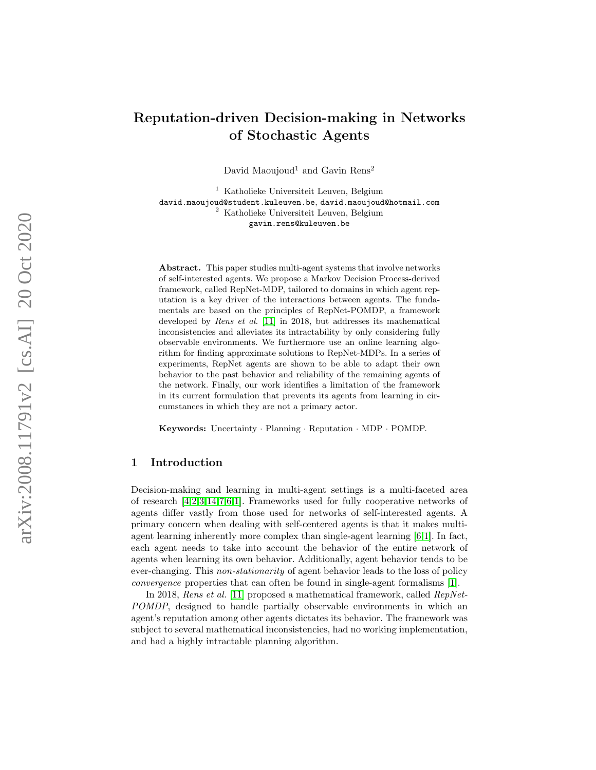# Reputation-driven Decision-making in Networks of Stochastic Agents

David Maoujoud<sup>1</sup> and Gavin Rens<sup>2</sup>

<sup>1</sup> Katholieke Universiteit Leuven, Belgium david.maoujoud@student.kuleuven.be , david.maoujoud@hotmail.com <sup>2</sup> Katholieke Universiteit Leuven, Belgium gavin.rens@kuleuven.be

Abstract. This paper studies multi-agent systems that involve networks of self-interested agents. We propose a Markov Decision Process-derived framework, called RepNet-MDP, tailored to domains in which agent reputation is a key driver of the interactions between agents. The fundamentals are based on the principles of RepNet-POMDP, a framework developed by Rens et al. [\[11\]](#page-18-0) in 2018, but addresses its mathematical inconsistencies and alleviates its intractability by only considering fully observable environments. We furthermore use an online learning algorithm for finding approximate solutions to RepNet-MDPs. In a series of experiments, RepNet agents are shown to be able to adapt their own behavior to the past behavior and reliability of the remaining agents of the network. Finally, our work identifies a limitation of the framework in its current formulation that prevents its agents from learning in circumstances in which they are not a primary actor.

Keywords: Uncertainty · Planning · Reputation · MDP · POMDP.

# 1 Introduction

Decision-making and learning in multi-agent settings is a multi-faceted area of research [\[4](#page-18-1)[,2,](#page-18-2)[3,](#page-18-3)[14,](#page-18-4)[7](#page-18-5)[,6,](#page-18-6)[1\]](#page-18-7). Frameworks used for fully cooperative networks of agents differ vastly from those used for networks of self-interested agents. A primary concern when dealing with self-centered agents is that it makes multiagent learning inherently more complex than single-agent learning [\[6,](#page-18-6)[1\]](#page-18-7). In fact, each agent needs to take into account the behavior of the entire network of agents when learning its own behavior. Additionally, agent behavior tends to be ever-changing. This non-stationarity of agent behavior leads to the loss of policy convergence properties that can often be found in single-agent formalisms [\[1\]](#page-18-7).

In 2018, Rens et al. [\[11\]](#page-18-0) proposed a mathematical framework, called RepNet-POMDP, designed to handle partially observable environments in which an agent's reputation among other agents dictates its behavior. The framework was subject to several mathematical inconsistencies, had no working implementation, and had a highly intractable planning algorithm.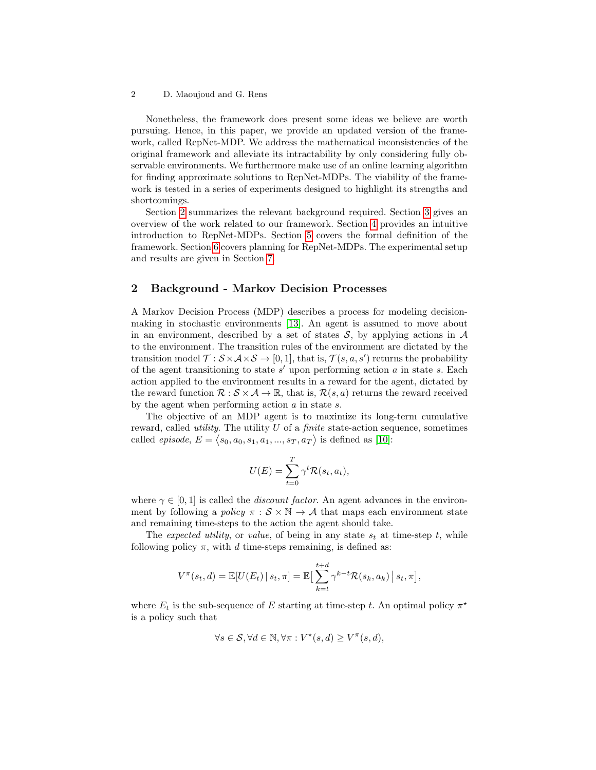Nonetheless, the framework does present some ideas we believe are worth pursuing. Hence, in this paper, we provide an updated version of the framework, called RepNet-MDP. We address the mathematical inconsistencies of the original framework and alleviate its intractability by only considering fully observable environments. We furthermore make use of an online learning algorithm for finding approximate solutions to RepNet-MDPs. The viability of the framework is tested in a series of experiments designed to highlight its strengths and shortcomings.

Section [2](#page-1-0) summarizes the relevant background required. Section [3](#page-2-0) gives an overview of the work related to our framework. Section [4](#page-3-0) provides an intuitive introduction to RepNet-MDPs. Section [5](#page-4-0) covers the formal definition of the framework. Section [6](#page-10-0) covers planning for RepNet-MDPs. The experimental setup and results are given in Section [7.](#page-12-0)

# <span id="page-1-0"></span>2 Background - Markov Decision Processes

A Markov Decision Process (MDP) describes a process for modeling decisionmaking in stochastic environments [\[13\]](#page-18-8). An agent is assumed to move about in an environment, described by a set of states  $S$ , by applying actions in  $A$ to the environment. The transition rules of the environment are dictated by the transition model  $\mathcal{T}: \mathcal{S} \times \mathcal{A} \times \mathcal{S} \to [0,1]$ , that is,  $\mathcal{T}(s, a, s')$  returns the probability of the agent transitioning to state  $s'$  upon performing action  $a$  in state  $s$ . Each action applied to the environment results in a reward for the agent, dictated by the reward function  $\mathcal{R}: \mathcal{S} \times \mathcal{A} \to \mathbb{R}$ , that is,  $\mathcal{R}(s, a)$  returns the reward received by the agent when performing action a in state s.

The objective of an MDP agent is to maximize its long-term cumulative reward, called *utility*. The utility  $U$  of a *finite* state-action sequence, sometimes called *episode*,  $E = \langle s_0, a_0, s_1, a_1, ..., s_T, a_T \rangle$  is defined as [\[10\]](#page-18-9):

$$
U(E) = \sum_{t=0}^{T} \gamma^t \mathcal{R}(s_t, a_t),
$$

where  $\gamma \in [0, 1]$  is called the *discount factor*. An agent advances in the environment by following a policy  $\pi : \mathcal{S} \times \mathbb{N} \to \mathcal{A}$  that maps each environment state and remaining time-steps to the action the agent should take.

The expected utility, or value, of being in any state  $s_t$  at time-step t, while following policy  $\pi$ , with d time-steps remaining, is defined as:

$$
V^{\pi}(s_t, d) = \mathbb{E}[U(E_t) | s_t, \pi] = \mathbb{E}\big[\sum_{k=t}^{t+d} \gamma^{k-t} \mathcal{R}(s_k, a_k) | s_t, \pi\big],
$$

where  $E_t$  is the sub-sequence of E starting at time-step t. An optimal policy  $\pi^*$ is a policy such that

$$
\forall s \in \mathcal{S}, \forall d \in \mathbb{N}, \forall \pi : V^*(s, d) \geq V^{\pi}(s, d),
$$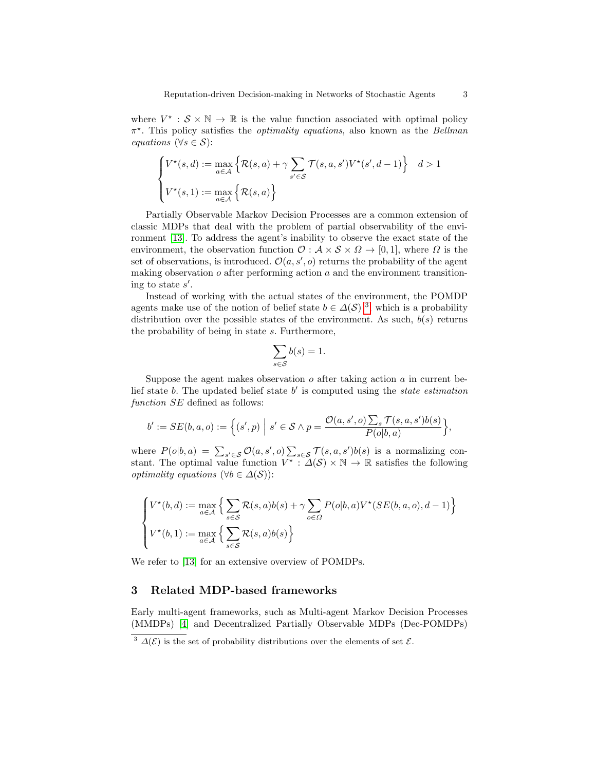where  $V^* : \mathcal{S} \times \mathbb{N} \to \mathbb{R}$  is the value function associated with optimal policy  $\pi^*$ . This policy satisfies the *optimality equations*, also known as the *Bellman* equations ( $\forall s \in S$ ):

$$
\begin{cases} V^{\star}(s,d) := \max_{a \in \mathcal{A}} \left\{ \mathcal{R}(s,a) + \gamma \sum_{s' \in \mathcal{S}} \mathcal{T}(s,a,s') V^{\star}(s',d-1) \right\} & d > 1 \\ V^{\star}(s,1) := \max_{a \in \mathcal{A}} \left\{ \mathcal{R}(s,a) \right\} \end{cases}
$$

Partially Observable Markov Decision Processes are a common extension of classic MDPs that deal with the problem of partial observability of the environment [\[13\]](#page-18-8). To address the agent's inability to observe the exact state of the environment, the observation function  $\mathcal{O}: \mathcal{A} \times \mathcal{S} \times \Omega \to [0,1]$ , where  $\Omega$  is the set of observations, is introduced.  $\mathcal{O}(a, s', o)$  returns the probability of the agent making observation  $o$  after performing action  $a$  and the environment transitioning to state  $s'$ .

Instead of working with the actual states of the environment, the POMDP agents make use of the notion of belief state  $b \in \Delta(\mathcal{S})$ <sup>[3](#page-2-1)</sup>, which is a probability distribution over the possible states of the environment. As such,  $b(s)$  returns the probability of being in state s. Furthermore,

$$
\sum_{s \in \mathcal{S}} b(s) = 1.
$$

Suppose the agent makes observation  $o$  after taking action  $a$  in current belief state b. The updated belief state  $b'$  is computed using the state estimation function  $SE$  defined as follows:

$$
b' := SE(b, a, o) := \left\{ (s', p) \mid s' \in S \land p = \frac{\mathcal{O}(a, s', o) \sum_{s} \mathcal{T}(s, a, s')b(s)}{P(o|b, a)} \right\},\
$$

where  $P(o|b, a) = \sum_{s' \in \mathcal{S}} \mathcal{O}(a, s', o) \sum_{s \in \mathcal{S}} \mathcal{T}(s, a, s') b(s)$  is a normalizing constant. The optimal value function  $V^*$ :  $\Delta(S) \times \mathbb{N} \to \mathbb{R}$  satisfies the following *optimality equations* ( $\forall b \in \Delta(S)$ ):

$$
\begin{cases} V^*(b,d) := \max_{a \in \mathcal{A}} \left\{ \sum_{s \in \mathcal{S}} \mathcal{R}(s,a)b(s) + \gamma \sum_{o \in \Omega} P(o|b,a) V^*(SE(b,a,o), d-1) \right\} \\ V^*(b,1) := \max_{a \in \mathcal{A}} \left\{ \sum_{s \in \mathcal{S}} \mathcal{R}(s,a)b(s) \right\} \end{cases}
$$

We refer to [\[13\]](#page-18-8) for an extensive overview of POMDPs.

# <span id="page-2-0"></span>3 Related MDP-based frameworks

Early multi-agent frameworks, such as Multi-agent Markov Decision Processes (MMDPs) [\[4\]](#page-18-1) and Decentralized Partially Observable MDPs (Dec-POMDPs)

<span id="page-2-1"></span><sup>&</sup>lt;sup>3</sup>  $\Delta(\mathcal{E})$  is the set of probability distributions over the elements of set  $\mathcal{E}$ .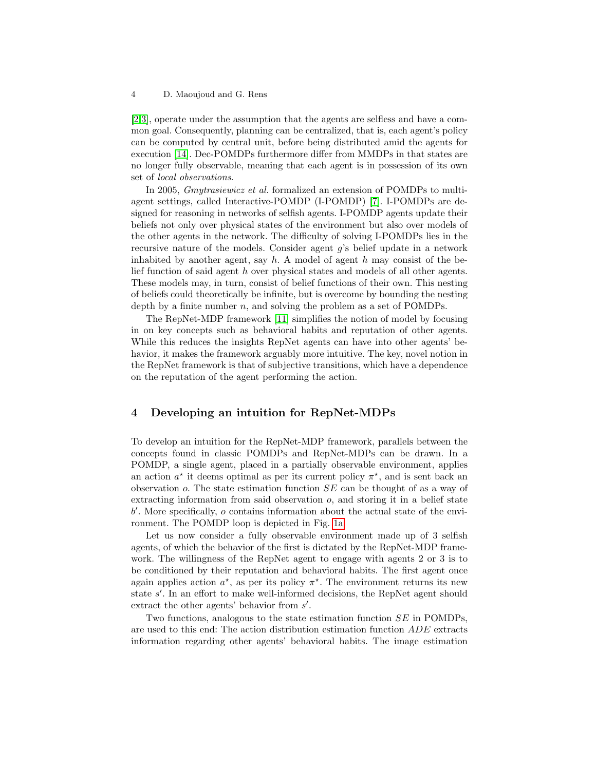[\[2,](#page-18-2)[3\]](#page-18-3), operate under the assumption that the agents are selfless and have a common goal. Consequently, planning can be centralized, that is, each agent's policy can be computed by central unit, before being distributed amid the agents for execution [\[14\]](#page-18-4). Dec-POMDPs furthermore differ from MMDPs in that states are no longer fully observable, meaning that each agent is in possession of its own set of local observations.

In 2005, Gmytrasiewicz et al. formalized an extension of POMDPs to multiagent settings, called Interactive-POMDP (I-POMDP) [\[7\]](#page-18-5). I-POMDPs are designed for reasoning in networks of selfish agents. I-POMDP agents update their beliefs not only over physical states of the environment but also over models of the other agents in the network. The difficulty of solving I-POMDPs lies in the recursive nature of the models. Consider agent g's belief update in a network inhabited by another agent, say  $h$ . A model of agent  $h$  may consist of the belief function of said agent h over physical states and models of all other agents. These models may, in turn, consist of belief functions of their own. This nesting of beliefs could theoretically be infinite, but is overcome by bounding the nesting depth by a finite number  $n$ , and solving the problem as a set of POMDPs.

The RepNet-MDP framework [\[11\]](#page-18-0) simplifies the notion of model by focusing in on key concepts such as behavioral habits and reputation of other agents. While this reduces the insights RepNet agents can have into other agents' behavior, it makes the framework arguably more intuitive. The key, novel notion in the RepNet framework is that of subjective transitions, which have a dependence on the reputation of the agent performing the action.

# <span id="page-3-0"></span>4 Developing an intuition for RepNet-MDPs

To develop an intuition for the RepNet-MDP framework, parallels between the concepts found in classic POMDPs and RepNet-MDPs can be drawn. In a POMDP, a single agent, placed in a partially observable environment, applies an action  $a^*$  it deems optimal as per its current policy  $\pi^*$ , and is sent back an observation o. The state estimation function SE can be thought of as a way of extracting information from said observation  $o$ , and storing it in a belief state b 0 . More specifically, o contains information about the actual state of the environment. The POMDP loop is depicted in Fig. [1a.](#page-4-1)

Let us now consider a fully observable environment made up of 3 selfish agents, of which the behavior of the first is dictated by the RepNet-MDP framework. The willingness of the RepNet agent to engage with agents 2 or 3 is to be conditioned by their reputation and behavioral habits. The first agent once again applies action  $a^*$ , as per its policy  $\pi^*$ . The environment returns its new state s'. In an effort to make well-informed decisions, the RepNet agent should extract the other agents' behavior from  $s'$ .

Two functions, analogous to the state estimation function SE in POMDPs, are used to this end: The action distribution estimation function ADE extracts information regarding other agents' behavioral habits. The image estimation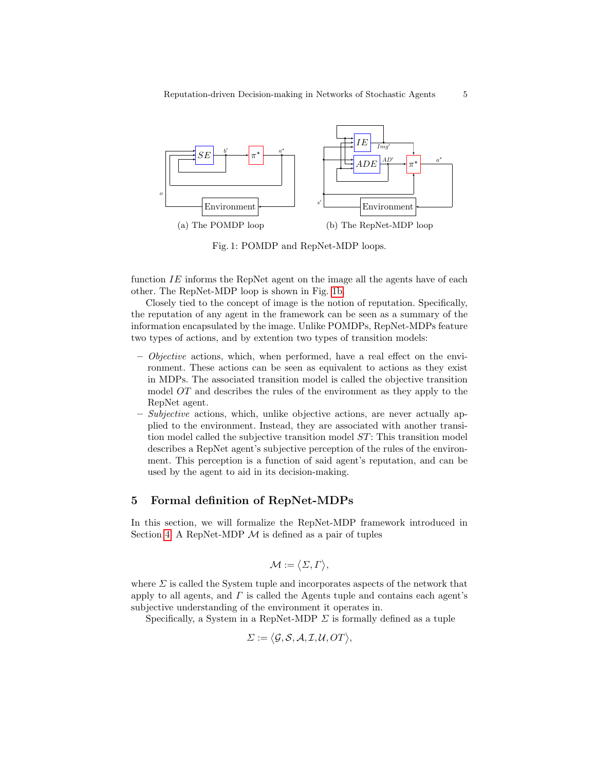<span id="page-4-1"></span>

<span id="page-4-2"></span>Fig. 1: POMDP and RepNet-MDP loops.

function  $IE$  informs the RepNet agent on the image all the agents have of each other. The RepNet-MDP loop is shown in Fig. [1b.](#page-4-2)

Closely tied to the concept of image is the notion of reputation. Specifically, the reputation of any agent in the framework can be seen as a summary of the information encapsulated by the image. Unlike POMDPs, RepNet-MDPs feature two types of actions, and by extention two types of transition models:

- $-$  *Objective* actions, which, when performed, have a real effect on the environment. These actions can be seen as equivalent to actions as they exist in MDPs. The associated transition model is called the objective transition model OT and describes the rules of the environment as they apply to the RepNet agent.
- $-Subjective$  actions, which, unlike objective actions, are never actually applied to the environment. Instead, they are associated with another transition model called the subjective transition model ST: This transition model describes a RepNet agent's subjective perception of the rules of the environment. This perception is a function of said agent's reputation, and can be used by the agent to aid in its decision-making.

### <span id="page-4-0"></span>5 Formal definition of RepNet-MDPs

In this section, we will formalize the RepNet-MDP framework introduced in Section [4.](#page-3-0) A RepNet-MDP  $\mathcal M$  is defined as a pair of tuples

$$
\mathcal{M}:=\big\langle \varSigma,\varGamma\big\rangle,
$$

where  $\Sigma$  is called the System tuple and incorporates aspects of the network that apply to all agents, and  $\Gamma$  is called the Agents tuple and contains each agent's subjective understanding of the environment it operates in.

Specifically, a System in a RepNet-MDP  $\Sigma$  is formally defined as a tuple

$$
\Sigma := \langle \mathcal{G}, \mathcal{S}, \mathcal{A}, \mathcal{I}, \mathcal{U}, OT \rangle,
$$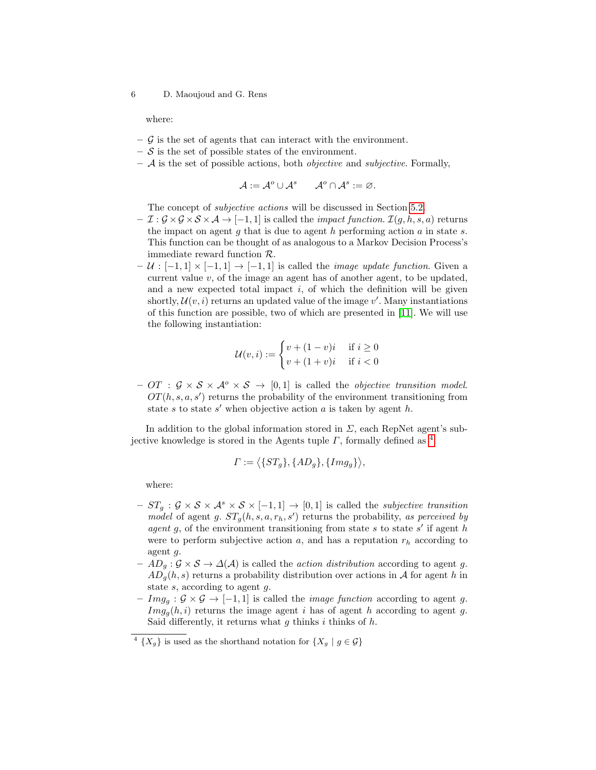where:

- $-$  G is the set of agents that can interact with the environment.
- $-$  S is the set of possible states of the environment.
- $-$  A is the set of possible actions, both *objective* and *subjective*. Formally,

$$
\mathcal{A} := \mathcal{A}^o \cup \mathcal{A}^s \qquad \mathcal{A}^o \cap \mathcal{A}^s := \varnothing.
$$

The concept of subjective actions will be discussed in Section [5.2.](#page-7-0)

- $-I : \mathcal{G} \times \mathcal{G} \times \mathcal{S} \times \mathcal{A} \rightarrow [-1, 1]$  is called the *impact function.*  $\mathcal{I}(g, h, s, a)$  returns the impact on agent q that is due to agent h performing action  $a$  in state  $s$ . This function can be thought of as analogous to a Markov Decision Process's immediate reward function R.
- $U : [-1, 1] \times [-1, 1] \rightarrow [-1, 1]$  is called the *image update function*. Given a current value  $v$ , of the image an agent has of another agent, to be updated, and a new expected total impact  $i$ , of which the definition will be given shortly,  $\mathcal{U}(v, i)$  returns an updated value of the image v'. Many instantiations of this function are possible, two of which are presented in [\[11\]](#page-18-0). We will use the following instantiation:

$$
\mathcal{U}(v,i) := \begin{cases} v + (1-v)i & \text{if } i \ge 0 \\ v + (1+v)i & \text{if } i < 0 \end{cases}
$$

– OT :  $\mathcal{G} \times \mathcal{S} \times \mathcal{A}^{\circ} \times \mathcal{S} \rightarrow [0, 1]$  is called the *objective transition model*.  $OT(h, s, a, s')$  returns the probability of the environment transitioning from state s to state s' when objective action  $a$  is taken by agent  $h$ .

In addition to the global information stored in  $\Sigma$ , each RepNet agent's subjective knowledge is stored in the Agents tuple  $\Gamma$ , formally defined as <sup>[4](#page-5-0)</sup>

$$
\Gamma := \langle \{ST_g\}, \{AD_g\}, \{Img_g\} \rangle,
$$

where:

- $-ST_g$ :  $\mathcal{G} \times \mathcal{S} \times \mathcal{A}^s \times \mathcal{S} \times [-1,1] \rightarrow [0,1]$  is called the *subjective transition* model of agent g.  $ST_g(h, s, a, r_h, s')$  returns the probability, as perceived by agent g, of the environment transitioning from state s to state s' if agent h were to perform subjective action  $a$ , and has a reputation  $r<sub>h</sub>$  according to agent g.
- $-AD_q: \mathcal{G} \times \mathcal{S} \to \Delta(\mathcal{A})$  is called the *action distribution* according to agent g.  $AD_a(h, s)$  returns a probability distribution over actions in A for agent h in state s, according to agent g.
- $Im g_g : \mathcal{G} \times \mathcal{G} \rightarrow [-1, 1]$  is called the *image function* according to agent g.  $Im g_q(h, i)$  returns the image agent i has of agent h according to agent g. Said differently, it returns what  $g$  thinks  $i$  thinks of  $h$ .

<span id="page-5-0"></span><sup>&</sup>lt;sup>4</sup>  $\{X_g\}$  is used as the shorthand notation for  $\{X_g \mid g \in \mathcal{G}\}\$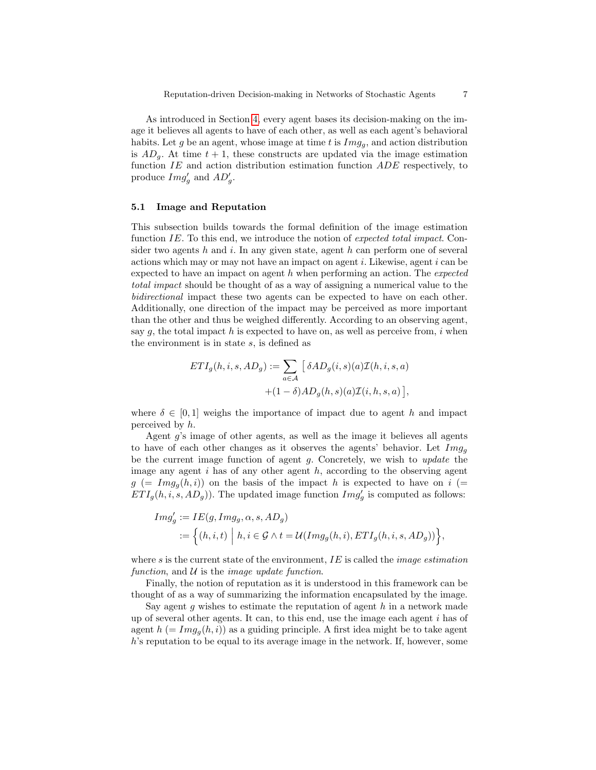As introduced in Section [4,](#page-3-0) every agent bases its decision-making on the image it believes all agents to have of each other, as well as each agent's behavioral habits. Let g be an agent, whose image at time t is  $Im g_q$ , and action distribution is  $AD_g$ . At time  $t + 1$ , these constructs are updated via the image estimation function  $IE$  and action distribution estimation function  $ADE$  respectively, to produce  $Img'_{g}$  and  $AD'_{g}$ .

#### 5.1 Image and Reputation

This subsection builds towards the formal definition of the image estimation function IE. To this end, we introduce the notion of expected total impact. Consider two agents  $h$  and  $i$ . In any given state, agent  $h$  can perform one of several actions which may or may not have an impact on agent  $i$ . Likewise, agent  $i$  can be expected to have an impact on agent  $h$  when performing an action. The *expected* total impact should be thought of as a way of assigning a numerical value to the bidirectional impact these two agents can be expected to have on each other. Additionally, one direction of the impact may be perceived as more important than the other and thus be weighed differently. According to an observing agent, say  $g$ , the total impact  $h$  is expected to have on, as well as perceive from,  $i$  when the environment is in state s, is defined as

$$
ETI_g(h, i, s, AD_g) := \sum_{a \in \mathcal{A}} \left[ \delta AD_g(i, s)(a) \mathcal{I}(h, i, s, a) + (1 - \delta) AD_g(h, s)(a) \mathcal{I}(i, h, s, a) \right],
$$

where  $\delta \in [0,1]$  weighs the importance of impact due to agent h and impact perceived by h.

Agent  $g$ 's image of other agents, as well as the image it believes all agents to have of each other changes as it observes the agents' behavior. Let  $Im g_q$ be the current image function of agent  $g$ . Concretely, we wish to *update* the image any agent  $i$  has of any other agent  $h$ , according to the observing agent  $g = \text{Im} g_q(h, i)$  on the basis of the impact h is expected to have on i (=  $ETI_g(h, i, s, AD_g)$ . The updated image function  $Img'_g$  is computed as follows:

$$
Img'_g := IE(g, Img_g, \alpha, s, AD_g)
$$
  

$$
:= \left\{ (h, i, t) \middle| h, i \in \mathcal{G} \land t = \mathcal{U}(Img_g(h, i), ETI_g(h, i, s, AD_g)) \right\}
$$

where s is the current state of the environment,  $IE$  is called the *image estimation* function, and  $U$  is the *image update function*.

Finally, the notion of reputation as it is understood in this framework can be thought of as a way of summarizing the information encapsulated by the image.

Say agent  $g$  wishes to estimate the reputation of agent  $h$  in a network made up of several other agents. It can, to this end, use the image each agent  $i$  has of agent  $h (= Im g<sub>q</sub>(h, i))$  as a guiding principle. A first idea might be to take agent h's reputation to be equal to its average image in the network. If, however, some

,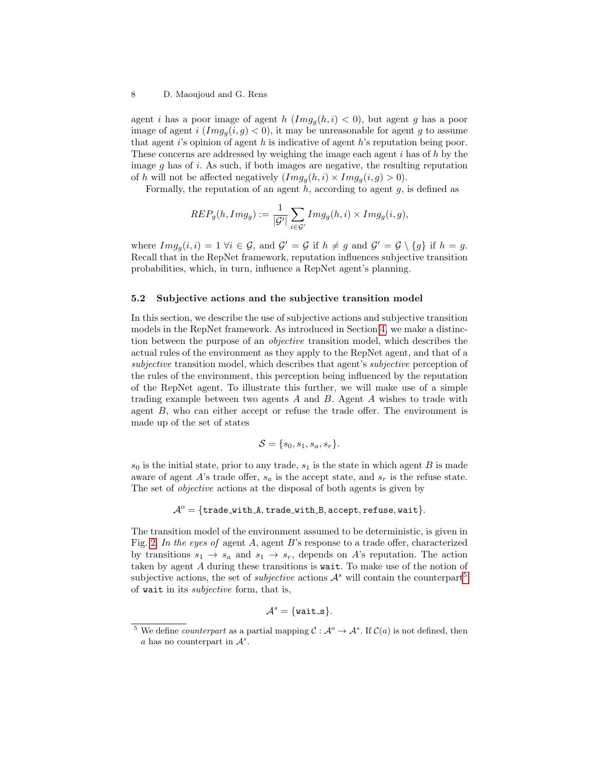agent i has a poor image of agent h  $(Im g_q(h, i) < 0)$ , but agent g has a poor image of agent i  $(Im g_q(i, g) < 0)$ , it may be unreasonable for agent g to assume that agent  $i$ 's opinion of agent h is indicative of agent h's reputation being poor. These concerns are addressed by weighing the image each agent  $i$  has of  $h$  by the image  $q$  has of i. As such, if both images are negative, the resulting reputation of h will not be affected negatively  $(Im g_a(h, i) \times Im g_a(i, g) > 0)$ .

Formally, the reputation of an agent  $h$ , according to agent  $g$ , is defined as

$$
REP_g(h, Img_g) := \frac{1}{|\mathcal{G}'|} \sum_{i \in \mathcal{G}'} Img_g(h, i) \times Img_g(i, g),
$$

where  $Img_g(i, i) = 1 \ \forall i \in \mathcal{G}$ , and  $\mathcal{G}' = \mathcal{G}$  if  $h \neq g$  and  $\mathcal{G}' = \mathcal{G} \setminus \{g\}$  if  $h = g$ . Recall that in the RepNet framework, reputation influences subjective transition probabilities, which, in turn, influence a RepNet agent's planning.

#### <span id="page-7-0"></span>5.2 Subjective actions and the subjective transition model

In this section, we describe the use of subjective actions and subjective transition models in the RepNet framework. As introduced in Section [4,](#page-3-0) we make a distinction between the purpose of an objective transition model, which describes the actual rules of the environment as they apply to the RepNet agent, and that of a subjective transition model, which describes that agent's *subjective* perception of the rules of the environment, this perception being influenced by the reputation of the RepNet agent. To illustrate this further, we will make use of a simple trading example between two agents  $A$  and  $B$ . Agent  $A$  wishes to trade with agent B, who can either accept or refuse the trade offer. The environment is made up of the set of states

$$
\mathcal{S} = \{s_0, s_1, s_a, s_r\}.
$$

 $s_0$  is the initial state, prior to any trade,  $s_1$  is the state in which agent B is made aware of agent A's trade offer,  $s_a$  is the accept state, and  $s_r$  is the refuse state. The set of objective actions at the disposal of both agents is given by

$$
\mathcal{A}^o = \{\texttt{trade\_with\_A}, \texttt{trade\_with\_B}, \texttt{accept}, \texttt{refuse}, \texttt{wait}\}.
$$

The transition model of the environment assumed to be deterministic, is given in Fig. [2.](#page-8-0) In the eyes of agent A, agent B's response to a trade offer, characterized by transitions  $s_1 \rightarrow s_a$  and  $s_1 \rightarrow s_r$ , depends on A's reputation. The action taken by agent A during these transitions is wait. To make use of the notion of subjective actions, the set of *subjective* actions  $\mathcal{A}^s$  will contain the counterpart<sup>[5](#page-7-1)</sup> of wait in its subjective form, that is,

$$
\mathcal{A}^s = \{\mathtt{wait}\_\mathtt{S}\}.
$$

<span id="page-7-1"></span><sup>&</sup>lt;sup>5</sup> We define *counterpart* as a partial mapping  $C : A^{\circ} \to A^s$ . If  $C(a)$  is not defined, then a has no counterpart in  $\mathcal{A}^s$ .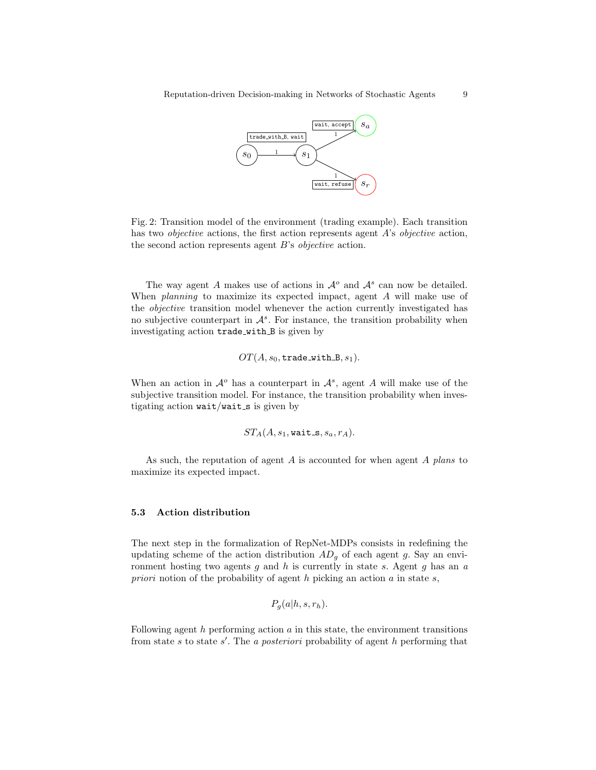<span id="page-8-0"></span>

Fig. 2: Transition model of the environment (trading example). Each transition has two *objective* actions, the first action represents agent A's *objective* action, the second action represents agent B's objective action.

The way agent A makes use of actions in  $\mathcal{A}^o$  and  $\mathcal{A}^s$  can now be detailed. When *planning* to maximize its expected impact, agent A will make use of the objective transition model whenever the action currently investigated has no subjective counterpart in  $\mathcal{A}^s$ . For instance, the transition probability when investigating action trade with B is given by

$$
OT(A, s_0, \mathtt{trade\_with\_B}, s_1).
$$

When an action in  $\mathcal{A}^o$  has a counterpart in  $\mathcal{A}^s$ , agent A will make use of the subjective transition model. For instance, the transition probability when investigating action  $wait/wait_s$  is given by

$$
ST_A(A,s_1,\mathtt{wait\_s},s_a,r_A).
$$

As such, the reputation of agent A is accounted for when agent A plans to maximize its expected impact.

#### 5.3 Action distribution

The next step in the formalization of RepNet-MDPs consists in redefining the updating scheme of the action distribution  $AD<sub>g</sub>$  of each agent g. Say an environment hosting two agents  $g$  and  $h$  is currently in state  $s$ . Agent  $g$  has an  $a$ priori notion of the probability of agent  $h$  picking an action  $a$  in state  $s$ ,

$$
P_g(a|h, s, r_h).
$$

Following agent  $h$  performing action  $a$  in this state, the environment transitions from state s to state s'. The a posteriori probability of agent h performing that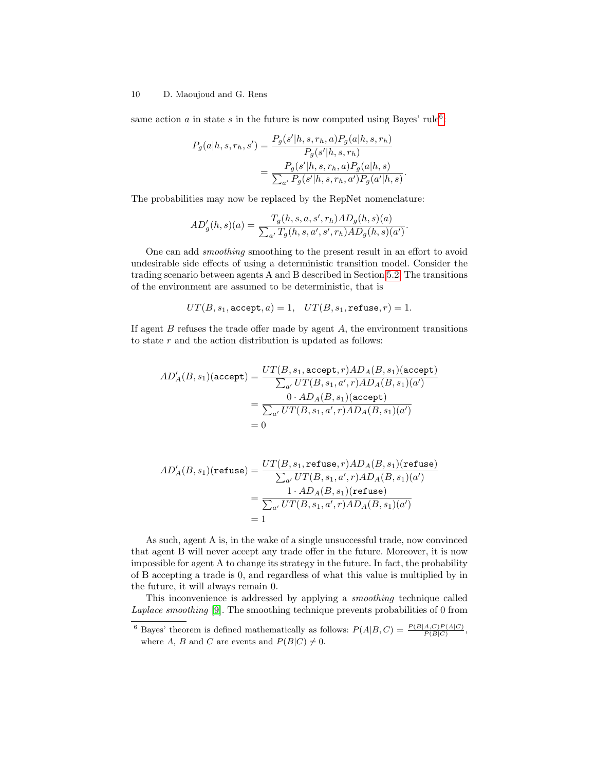same action  $a$  in state  $s$  in the future is now computed using Bayes' rule<sup>[6](#page-9-0)</sup>:

$$
P_g(a|h, s, r_h, s') = \frac{P_g(s'|h, s, r_h, a)P_g(a|h, s, r_h)}{P_g(s'|h, s, r_h)}
$$
  
= 
$$
\frac{P_g(s'|h, s, r_h, a)P_g(a|h, s)}{\sum_{a'} P_g(s'|h, s, r_h, a')P_g(a'|h, s)}
$$

.

The probabilities may now be replaced by the RepNet nomenclature:

$$
AD'_{g}(h,s)(a) = \frac{T_g(h,s,a,s',r_h)AD_g(h,s)(a)}{\sum_{a'} T_g(h,s,a',s',r_h)AD_g(h,s)(a')}.
$$

One can add smoothing smoothing to the present result in an effort to avoid undesirable side effects of using a deterministic transition model. Consider the trading scenario between agents A and B described in Section [5.2.](#page-7-0) The transitions of the environment are assumed to be deterministic, that is

$$
UT(B,s_1,\mathtt{accept},a)=1,\quad UT(B,s_1,\mathtt{refuse},r)=1.
$$

If agent  $B$  refuses the trade offer made by agent  $A$ , the environment transitions to state r and the action distribution is updated as follows:

$$
AD'_{A}(B, s_{1})(\text{accept}) = \frac{UT(B, s_{1}, \text{accept}, r)AD_{A}(B, s_{1})(\text{accept})}{\sum_{a'} UT(B, s_{1}, a', r)AD_{A}(B, s_{1})(a')}
$$

$$
= \frac{0 \cdot AD_{A}(B, s_{1})(\text{accept})}{\sum_{a'} UT(B, s_{1}, a', r)AD_{A}(B, s_{1})(a')}
$$

$$
= 0
$$

$$
AD'_{A}(B, s_{1})(\text{refuse}) = \frac{UT(B, s_{1}, \text{refuse}, r)AD_{A}(B, s_{1})(\text{refuse})}{\sum_{a'} UT(B, s_{1}, a', r)AD_{A}(B, s_{1})(a')}
$$

$$
= \frac{1 \cdot AD_{A}(B, s_{1})(\text{refuse})}{\sum_{a'} UT(B, s_{1}, a', r)AD_{A}(B, s_{1})(a')}
$$

$$
= 1
$$

As such, agent A is, in the wake of a single unsuccessful trade, now convinced that agent B will never accept any trade offer in the future. Moreover, it is now impossible for agent A to change its strategy in the future. In fact, the probability of B accepting a trade is 0, and regardless of what this value is multiplied by in the future, it will always remain 0.

This inconvenience is addressed by applying a smoothing technique called Laplace smoothing [\[9\]](#page-18-10). The smoothing technique prevents probabilities of 0 from

<span id="page-9-0"></span><sup>&</sup>lt;sup>6</sup> Bayes' theorem is defined mathematically as follows:  $P(A|B,C) = \frac{P(B|A,C)P(A|C)}{P(B|C)}$ , where A, B and C are events and  $P(B|C) \neq 0$ .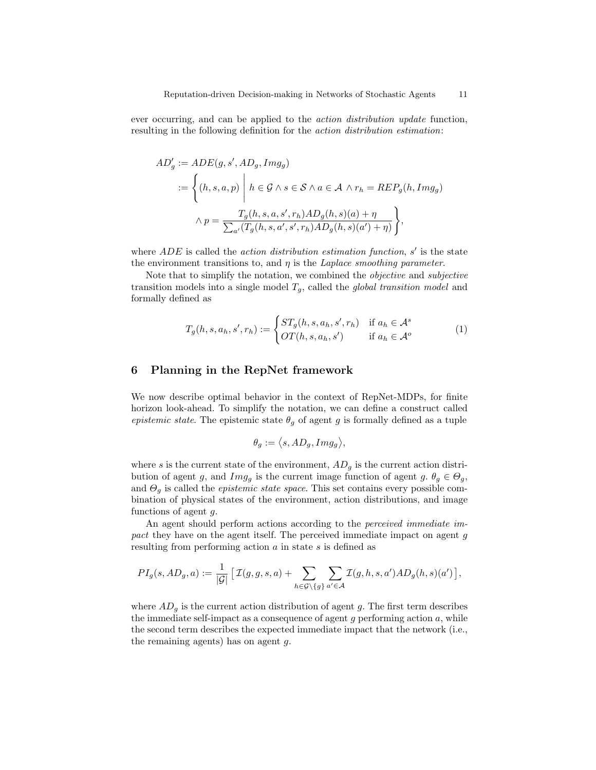ever occurring, and can be applied to the action distribution update function, resulting in the following definition for the action distribution estimation:

$$
AD'_g := ADE(g, s', AD_g, Img_g)
$$
  

$$
:= \left\{ (h, s, a, p) \middle| h \in \mathcal{G} \land s \in \mathcal{S} \land a \in \mathcal{A} \land r_h = REP_g(h, Img_g) \right\}
$$
  

$$
\land p = \frac{T_g(h, s, a, s', r_h) AD_g(h, s)(a) + \eta}{\sum_{a'} (T_g(h, s, a', s', r_h) AD_g(h, s)(a') + \eta)} \right\},
$$

where  $ADE$  is called the *action distribution estimation function*,  $s'$  is the state the environment transitions to, and  $\eta$  is the *Laplace smoothing parameter*.

Note that to simplify the notation, we combined the objective and subjective transition models into a single model  $T_g$ , called the *global transition model* and formally defined as

$$
T_g(h, s, a_h, s', r_h) := \begin{cases} ST_g(h, s, a_h, s', r_h) & \text{if } a_h \in \mathcal{A}^s \\ OT(h, s, a_h, s') & \text{if } a_h \in \mathcal{A}^o \end{cases}
$$
(1)

# <span id="page-10-0"></span>6 Planning in the RepNet framework

We now describe optimal behavior in the context of RepNet-MDPs, for finite horizon look-ahead. To simplify the notation, we can define a construct called epistemic state. The epistemic state  $\theta_q$  of agent g is formally defined as a tuple

<span id="page-10-1"></span>
$$
\theta_g := \langle s, AD_g, Img_g \rangle,
$$

where s is the current state of the environment,  $AD<sub>q</sub>$  is the current action distribution of agent g, and  $Img_g$  is the current image function of agent  $g, \theta_g \in \Theta_g$ , and  $\Theta_g$  is called the *epistemic state space*. This set contains every possible combination of physical states of the environment, action distributions, and image functions of agent g.

An agent should perform actions according to the *perceived immediate im*pact they have on the agent itself. The perceived immediate impact on agent g resulting from performing action a in state s is defined as

$$
PI_g(s, AD_g, a) := \frac{1}{|\mathcal{G}|} \left[ \mathcal{I}(g, g, s, a) + \sum_{h \in \mathcal{G} \setminus \{g\}} \sum_{a' \in \mathcal{A}} \mathcal{I}(g, h, s, a')AD_g(h, s)(a') \right],
$$

where  $AD<sub>g</sub>$  is the current action distribution of agent g. The first term describes the immediate self-impact as a consequence of agent g performing action  $a$ , while the second term describes the expected immediate impact that the network (i.e., the remaining agents) has on agent  $q$ .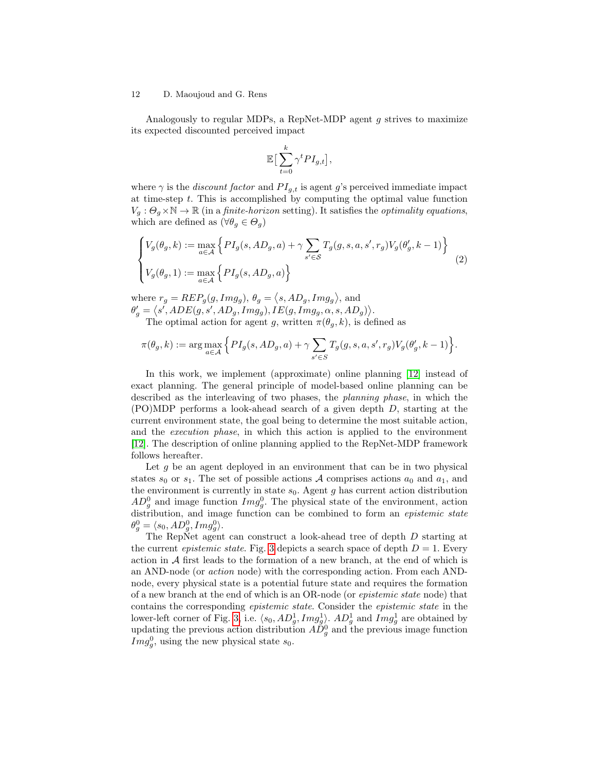Analogously to regular MDPs, a RepNet-MDP agent  $q$  strives to maximize its expected discounted perceived impact

<span id="page-11-0"></span>
$$
\mathbb{E}\big[\sum_{t=0}^k \gamma^t P I_{g,t}\big],
$$

where  $\gamma$  is the *discount factor* and  $PI_{g,t}$  is agent g's perceived immediate impact at time-step  $t$ . This is accomplished by computing the optimal value function  $V_g: \Theta_g \times \mathbb{N} \to \mathbb{R}$  (in a *finite-horizon* setting). It satisfies the *optimality equations*, which are defined as  $(\forall \theta_g \in \Theta_g)$ 

$$
\begin{cases}\nV_g(\theta_g, k) := \max_{a \in \mathcal{A}} \left\{ P I_g(s, AD_g, a) + \gamma \sum_{s' \in \mathcal{S}} T_g(g, s, a, s', r_g) V_g(\theta'_g, k - 1) \right\} \\
V_g(\theta_g, 1) := \max_{a \in \mathcal{A}} \left\{ P I_g(s, AD_g, a) \right\}\n\end{cases} \tag{2}
$$

where  $r_g = R E P_g(g, Im g_g), \theta_g = \langle s, AD_g, Im g_g \rangle$ , and  $\theta'_g = \langle s',ADE(g, s', AD_g, Img_g), IE(g, Img_g, \alpha, s, AD_g) \rangle.$ The optimal action for agent g, written  $\pi(\theta_a, k)$ , is defined as

$$
\pi(\theta_g, k) := \arg\max_{a \in \mathcal{A}} \Big\{PI_g(s, AD_g, a) + \gamma \sum_{s' \in S} T_g(g, s, a, s', r_g)V_g(\theta'_g, k-1) \Big\}.
$$

In this work, we implement (approximate) online planning [\[12\]](#page-18-11) instead of exact planning. The general principle of model-based online planning can be described as the interleaving of two phases, the planning phase, in which the (PO)MDP performs a look-ahead search of a given depth D, starting at the current environment state, the goal being to determine the most suitable action, and the execution phase, in which this action is applied to the environment [\[12\]](#page-18-11). The description of online planning applied to the RepNet-MDP framework follows hereafter.

Let  $g$  be an agent deployed in an environment that can be in two physical states  $s_0$  or  $s_1$ . The set of possible actions  $A$  comprises actions  $a_0$  and  $a_1$ , and the environment is currently in state  $s_0$ . Agent g has current action distribution  $AD_g^0$  and image function  $Img_g^0$ . The physical state of the environment, action distribution, and image function can be combined to form an epistemic state  $\theta_g^0 = \langle s_0, AD_g^0, Img_g^0 \rangle.$ 

The RepNet agent can construct a look-ahead tree of depth D starting at the current *epistemic state*. Fig. [3](#page-12-1) depicts a search space of depth  $D = 1$ . Every action in  $A$  first leads to the formation of a new branch, at the end of which is an AND-node (or action node) with the corresponding action. From each ANDnode, every physical state is a potential future state and requires the formation of a new branch at the end of which is an OR-node (or epistemic state node) that contains the corresponding epistemic state. Consider the epistemic state in the lower-left corner of Fig. [3,](#page-12-1) i.e.  $\langle s_0, AD_g^1, Img_g^1 \rangle$ .  $AD_g^1$  and  $Img_g^1$  are obtained by updating the previous action distribution  $A\check{D}_{g}^{0}$  and the previous image function  $Im g_g^0$ , using the new physical state  $s_0$ .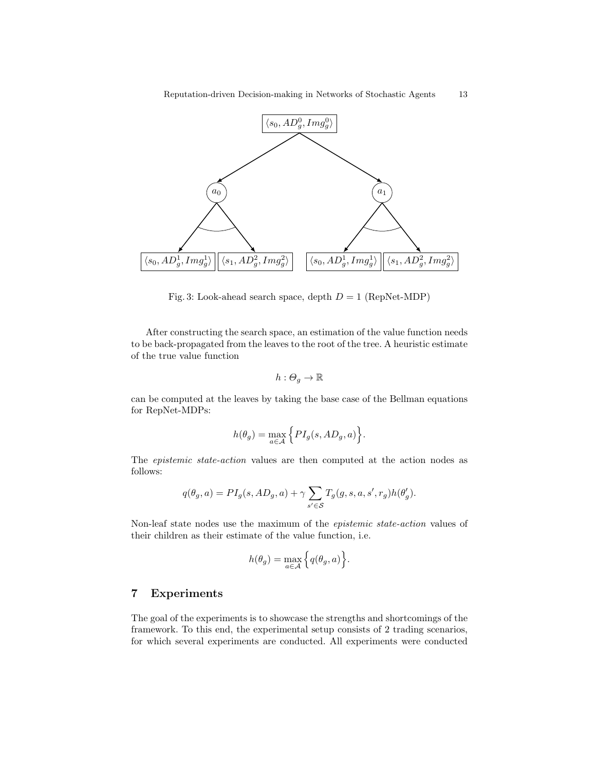<span id="page-12-1"></span>

Fig. 3: Look-ahead search space, depth  $D = 1$  (RepNet-MDP)

After constructing the search space, an estimation of the value function needs to be back-propagated from the leaves to the root of the tree. A heuristic estimate of the true value function

$$
h:\varTheta_g\to\mathbb{R}
$$

can be computed at the leaves by taking the base case of the Bellman equations for RepNet-MDPs:

$$
h(\theta_g) = \max_{a \in \mathcal{A}} \Big\{PI_g(s, AD_g, a)\Big\}.
$$

The epistemic state-action values are then computed at the action nodes as follows:

$$
q(\theta_g, a) = PI_g(s, AD_g, a) + \gamma \sum_{s' \in S} T_g(g, s, a, s', r_g) h(\theta'_g).
$$

Non-leaf state nodes use the maximum of the epistemic state-action values of their children as their estimate of the value function, i.e.

$$
h(\theta_g) = \max_{a \in \mathcal{A}} \left\{ q(\theta_g, a) \right\}.
$$

# <span id="page-12-0"></span>7 Experiments

The goal of the experiments is to showcase the strengths and shortcomings of the framework. To this end, the experimental setup consists of 2 trading scenarios, for which several experiments are conducted. All experiments were conducted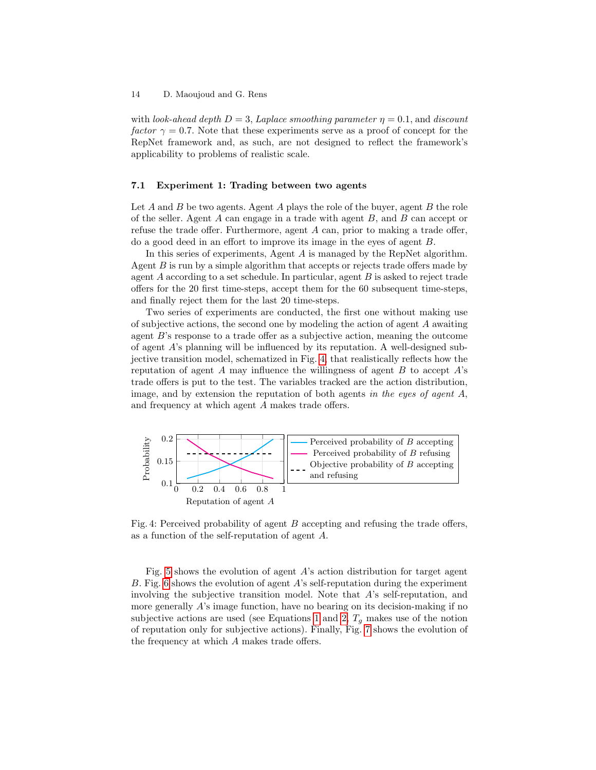with look-ahead depth  $D = 3$ , Laplace smoothing parameter  $\eta = 0.1$ , and discount factor  $\gamma = 0.7$ . Note that these experiments serve as a proof of concept for the RepNet framework and, as such, are not designed to reflect the framework's applicability to problems of realistic scale.

#### <span id="page-13-1"></span>7.1 Experiment 1: Trading between two agents

Let  $A$  and  $B$  be two agents. Agent  $A$  plays the role of the buyer, agent  $B$  the role of the seller. Agent  $A$  can engage in a trade with agent  $B$ , and  $B$  can accept or refuse the trade offer. Furthermore, agent A can, prior to making a trade offer, do a good deed in an effort to improve its image in the eyes of agent B.

In this series of experiments, Agent A is managed by the RepNet algorithm. Agent  $B$  is run by a simple algorithm that accepts or rejects trade offers made by agent  $A$  according to a set schedule. In particular, agent  $B$  is asked to reject trade offers for the 20 first time-steps, accept them for the 60 subsequent time-steps, and finally reject them for the last 20 time-steps.

Two series of experiments are conducted, the first one without making use of subjective actions, the second one by modeling the action of agent A awaiting agent  $B$ 's response to a trade offer as a subjective action, meaning the outcome of agent A's planning will be influenced by its reputation. A well-designed subjective transition model, schematized in Fig. [4,](#page-13-0) that realistically reflects how the reputation of agent A may influence the willingness of agent  $B$  to accept  $A$ 's trade offers is put to the test. The variables tracked are the action distribution, image, and by extension the reputation of both agents in the eyes of agent  $A$ , and frequency at which agent A makes trade offers.

<span id="page-13-0"></span>

Fig. 4: Perceived probability of agent  $B$  accepting and refusing the trade offers, as a function of the self-reputation of agent A.

Fig. [5](#page-14-0) shows the evolution of agent A's action distribution for target agent B. Fig. [6](#page-14-1) shows the evolution of agent A's self-reputation during the experiment involving the subjective transition model. Note that  $A$ 's self-reputation, and more generally A's image function, have no bearing on its decision-making if no subjective actions are used (see Equations [1](#page-10-1) and [2,](#page-11-0)  $T<sub>g</sub>$  makes use of the notion of reputation only for subjective actions). Finally, Fig. [7](#page-15-0) shows the evolution of the frequency at which A makes trade offers.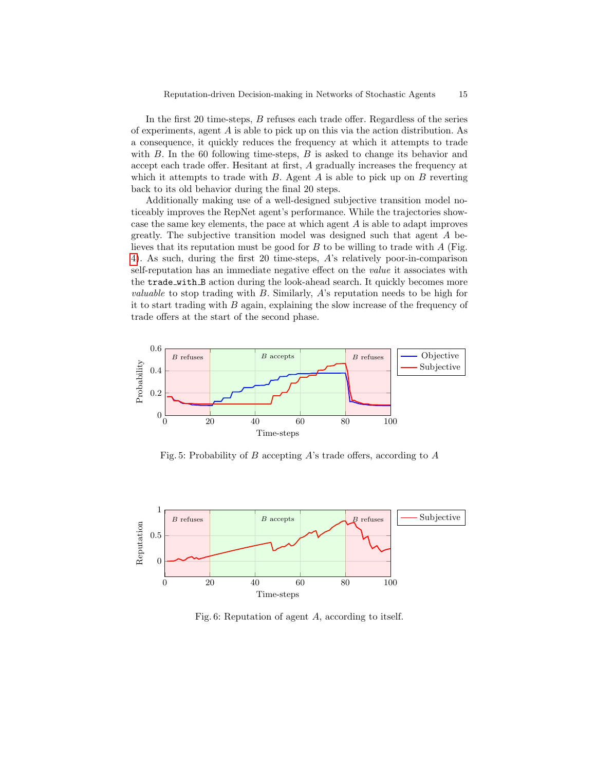In the first 20 time-steps, B refuses each trade offer. Regardless of the series of experiments, agent A is able to pick up on this via the action distribution. As a consequence, it quickly reduces the frequency at which it attempts to trade with  $B$ . In the 60 following time-steps,  $B$  is asked to change its behavior and accept each trade offer. Hesitant at first, A gradually increases the frequency at which it attempts to trade with  $B$ . Agent  $A$  is able to pick up on  $B$  reverting back to its old behavior during the final 20 steps.

Additionally making use of a well-designed subjective transition model noticeably improves the RepNet agent's performance. While the trajectories showcase the same key elements, the pace at which agent A is able to adapt improves greatly. The subjective transition model was designed such that agent A believes that its reputation must be good for  $B$  to be willing to trade with  $A$  (Fig. [4\)](#page-13-0). As such, during the first 20 time-steps, A's relatively poor-in-comparison self-reputation has an immediate negative effect on the *value* it associates with the trade with B action during the look-ahead search. It quickly becomes more *valuable* to stop trading with  $B$ . Similarly,  $A$ 's reputation needs to be high for it to start trading with  $B$  again, explaining the slow increase of the frequency of trade offers at the start of the second phase.

<span id="page-14-0"></span>

Fig. 5: Probability of B accepting A's trade offers, according to  $A$ 

<span id="page-14-1"></span>

Fig. 6: Reputation of agent A, according to itself.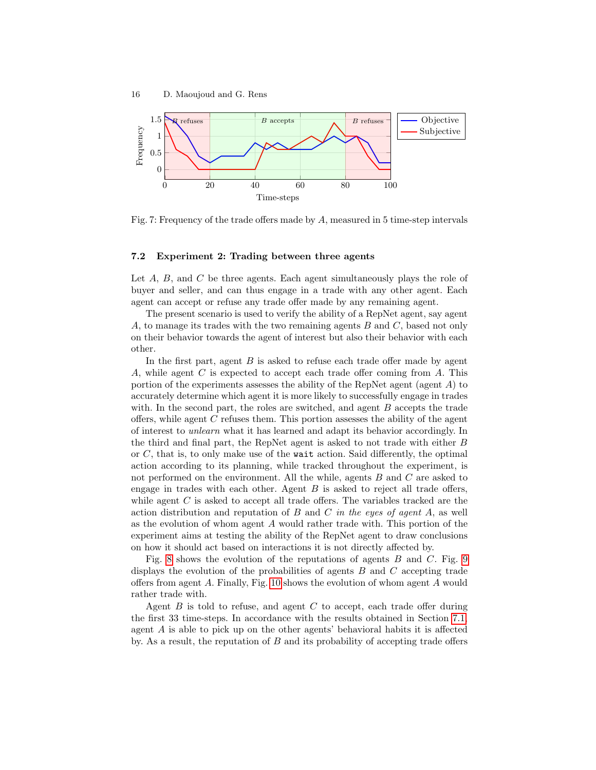<span id="page-15-0"></span>

Fig. 7: Frequency of the trade offers made by A, measured in 5 time-step intervals

#### 7.2 Experiment 2: Trading between three agents

Let  $A$ ,  $B$ , and  $C$  be three agents. Each agent simultaneously plays the role of buyer and seller, and can thus engage in a trade with any other agent. Each agent can accept or refuse any trade offer made by any remaining agent.

The present scenario is used to verify the ability of a RepNet agent, say agent A, to manage its trades with the two remaining agents  $B$  and  $C$ , based not only on their behavior towards the agent of interest but also their behavior with each other.

In the first part, agent B is asked to refuse each trade offer made by agent A, while agent  $C$  is expected to accept each trade offer coming from  $A$ . This portion of the experiments assesses the ability of the RepNet agent (agent  $A$ ) to accurately determine which agent it is more likely to successfully engage in trades with. In the second part, the roles are switched, and agent  $B$  accepts the trade offers, while agent  $C$  refuses them. This portion assesses the ability of the agent of interest to unlearn what it has learned and adapt its behavior accordingly. In the third and final part, the RepNet agent is asked to not trade with either B or  $C$ , that is, to only make use of the wait action. Said differently, the optimal action according to its planning, while tracked throughout the experiment, is not performed on the environment. All the while, agents B and C are asked to engage in trades with each other. Agent  $B$  is asked to reject all trade offers, while agent  $C$  is asked to accept all trade offers. The variables tracked are the action distribution and reputation of  $B$  and  $C$  in the eyes of agent  $A$ , as well as the evolution of whom agent A would rather trade with. This portion of the experiment aims at testing the ability of the RepNet agent to draw conclusions on how it should act based on interactions it is not directly affected by.

Fig. [8](#page-16-0) shows the evolution of the reputations of agents  $B$  and  $C$ . Fig. [9](#page-17-0) displays the evolution of the probabilities of agents  $B$  and  $C$  accepting trade offers from agent A. Finally, Fig. [10](#page-17-1) shows the evolution of whom agent A would rather trade with.

Agent  $B$  is told to refuse, and agent  $C$  to accept, each trade offer during the first 33 time-steps. In accordance with the results obtained in Section [7.1,](#page-13-1) agent A is able to pick up on the other agents' behavioral habits it is affected by. As a result, the reputation of  $B$  and its probability of accepting trade offers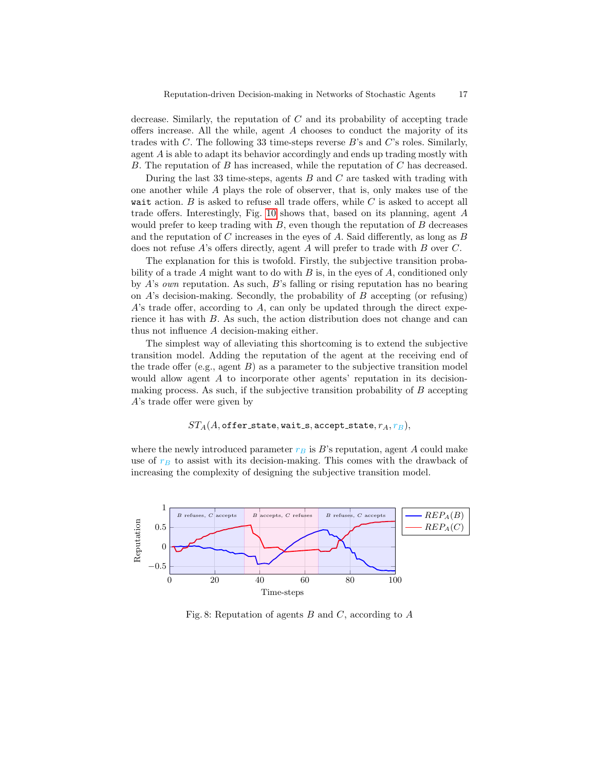decrease. Similarly, the reputation of C and its probability of accepting trade offers increase. All the while, agent A chooses to conduct the majority of its trades with C. The following 33 time-steps reverse B's and C's roles. Similarly, agent A is able to adapt its behavior accordingly and ends up trading mostly with B. The reputation of B has increased, while the reputation of C has decreased.

During the last 33 time-steps, agents  $B$  and  $C$  are tasked with trading with one another while A plays the role of observer, that is, only makes use of the wait action.  $B$  is asked to refuse all trade offers, while  $C$  is asked to accept all trade offers. Interestingly, Fig. [10](#page-17-1) shows that, based on its planning, agent A would prefer to keep trading with  $B$ , even though the reputation of  $B$  decreases and the reputation of C increases in the eyes of A. Said differently, as long as  $B$ does not refuse A's offers directly, agent A will prefer to trade with B over C.

The explanation for this is twofold. Firstly, the subjective transition probability of a trade A might want to do with  $B$  is, in the eyes of  $A$ , conditioned only by A's own reputation. As such, B's falling or rising reputation has no bearing on  $A$ 's decision-making. Secondly, the probability of  $B$  accepting (or refusing) A's trade offer, according to A, can only be updated through the direct experience it has with B. As such, the action distribution does not change and can thus not influence A decision-making either.

The simplest way of alleviating this shortcoming is to extend the subjective transition model. Adding the reputation of the agent at the receiving end of the trade offer (e.g., agent  $B$ ) as a parameter to the subjective transition model would allow agent A to incorporate other agents' reputation in its decisionmaking process. As such, if the subjective transition probability of  $B$  accepting A's trade offer were given by

## $ST_A(A, \text{offer\_state}, \text{wait\_s}, \text{accept\_state}, r_A, r_B),$

where the newly introduced parameter  $r_B$  is B's reputation, agent A could make use of  $r_B$  to assist with its decision-making. This comes with the drawback of increasing the complexity of designing the subjective transition model.

<span id="page-16-0"></span>

Fig. 8: Reputation of agents  $B$  and  $C$ , according to  $A$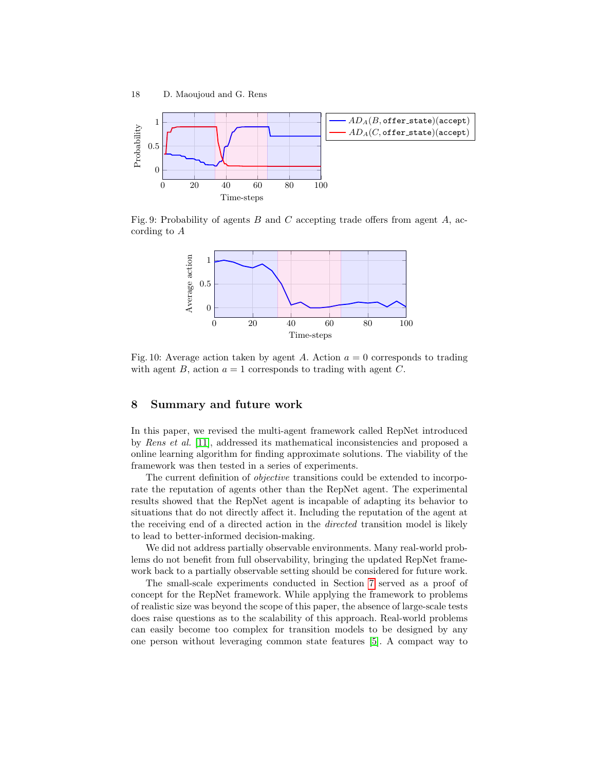<span id="page-17-0"></span>

<span id="page-17-1"></span>Fig. 9: Probability of agents  $B$  and  $C$  accepting trade offers from agent  $A$ , according to A



Fig. 10: Average action taken by agent A. Action  $a = 0$  corresponds to trading with agent B, action  $a = 1$  corresponds to trading with agent C.

## 8 Summary and future work

In this paper, we revised the multi-agent framework called RepNet introduced by Rens et al. [\[11\]](#page-18-0), addressed its mathematical inconsistencies and proposed a online learning algorithm for finding approximate solutions. The viability of the framework was then tested in a series of experiments.

The current definition of *objective* transitions could be extended to incorporate the reputation of agents other than the RepNet agent. The experimental results showed that the RepNet agent is incapable of adapting its behavior to situations that do not directly affect it. Including the reputation of the agent at the receiving end of a directed action in the directed transition model is likely to lead to better-informed decision-making.

We did not address partially observable environments. Many real-world problems do not benefit from full observability, bringing the updated RepNet framework back to a partially observable setting should be considered for future work.

The small-scale experiments conducted in Section [7](#page-12-0) served as a proof of concept for the RepNet framework. While applying the framework to problems of realistic size was beyond the scope of this paper, the absence of large-scale tests does raise questions as to the scalability of this approach. Real-world problems can easily become too complex for transition models to be designed by any one person without leveraging common state features [\[5\]](#page-18-12). A compact way to